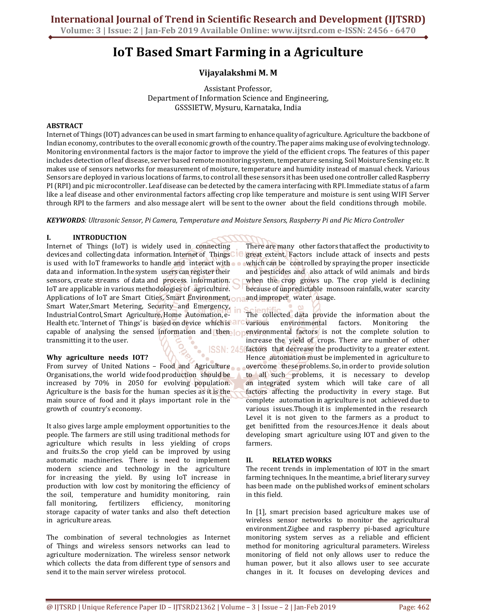# **IoT Based Smart Farming in a Agriculture**

# **Vijayalakshmi M. M**

Assistant Professor, Department of Information Science and Engineering, GSSSIETW, Mysuru, Karnataka, India

# **ABSTRACT**

Internet of Things (IOT) advances can be used in smart farming to enhance quality of agriculture. Agriculture the backbone of Indian economy, contributes to the overall economic growth of the country. The paper aims making use of evolving technology. Monitoring environmental factors is the major factor to improve the yield of the efficient crops. The features of this paper includes detection of leaf disease, server based remote monitoring system, temperature sensing, Soil Moisture Sensing etc. It makes use of sensors networks for measurement of moisture, temperature and humidity instead of manual check. Various Sensors are deployed in various locations of farms, to control all these sensors it has been used one controller called Raspberry PI (RPI) and pic microcontroller. Leaf disease can be detected by the camera interfacing with RPI. Immediate status of a farm like a leaf disease and other environmental factors affecting crop like temperature and moisture is sent using WIFI Server through RPI to the farmers and also message alert will be sent to the owner about the field conditions through mobile.

*KEYWORDS: Ultrasonic Sensor, Pi Camera, Temperature and Moisture Sensors, Raspberry Pi and Pic Micro Controller* 

# **I. INTRODUCTION**

Internet of Things (IoT) is widely used in **connecting** devices and collecting data information. Internet of ThingsCIC is used with IoT frameworks to handle and **interact** with data and information. In the system users can register their sensors, create streams of data and process information. IoT are applicable in various methodologies of**0**agriculture. Applications of IoT are Smart Cities, Smart Environment, and Smart Water,Smart Metering, Security and Emergency, Industrial Control, Smart Agriculture, Home Automation, e-Health etc. 'Internet of Things' is based on device which is a **C** various capable of analysing the sensed information and then **openyironmental factors** is not the complete solution to transmitting it to the user. **ISSN: 245** 

# **Why agriculture needs IOT?**

From survey of United Nations – Food and Agriculture Organisations, the**0**world**0**wide food production**0**should be increased by 70% in 2050 for evolving population. Agriculture is the basis for the human species as it is the main source of food and it plays important role in the growth of country's economy.

It also gives large ample employment opportunities to the people. The farmers are still using traditional methods for agriculture which results in less yielding of crops and fruits.So the crop yield can be improved by using automatic machineries. There is need to implement modern science and technology in the agriculture for**0**increasing the yield. By using IoT**0**increase in production with low cost by monitoring the efficiency of the soil, temperature and humidity monitoring, rain fall monitoring, fertilizers efficiency, monitoring storage capacity of water tanks and also theft detection in agriculture areas.

The combination of several technologies as Internet of Things and wireless sensors networks can lead to agriculture modernization. The wireless sensor network which collects the data from different type of sensors and send it to the main server wireless protocol.

There are many**0**other factors that affect the**0**productivity to great extent. Factors**0**include attack of**0**insects and pests which can be controlled by spraying the proper insecticide and pesticides and**0**also attack of wild animals**0**and birds when the crop grows up. The crop yield is declining because of unpredictable**0**monsoon rainfalls, water**0**scarcity and improper water usage.

The collected data provide the information about the environmental factors. Monitoring the increase the vield of crops. There are number of other factors that decrease the productivity to a greater extent. Hence automation must be implemented in agriculture to overcome**0**these problems. So, in order to**0**provide solution to all such problems, it is necessary to develop an integrated system which will take care of all factors affecting the productivity in every stage. But complete**0**automation in agriculture is not**0**achieved due to various issues.Though it is implemented in the research Level it is not given to the farmers as a product to get benifitted from the resources.Hence it deals about developing smart agriculture using IOT and given to the farmers.

# **II. RELATED WORKS**

The recent trends in implementation of IOT in the smart farming techniques. In the meantime, a brief literary survey has been made on the published works of eminent scholars in this field.

In [1], smart precision based agriculture makes use of wireless sensor networks to monitor the agricultural environment.Zigbee**0**and raspberry**0**pi-based agriculture monitoring**0**system serves as a**0**reliable and**0**efficient method for monitoring agricultural parameters. Wireless monitoring of field not only allows user to reduce the human power, but it also allows user to see accurate changes in it. It focuses on developing devices and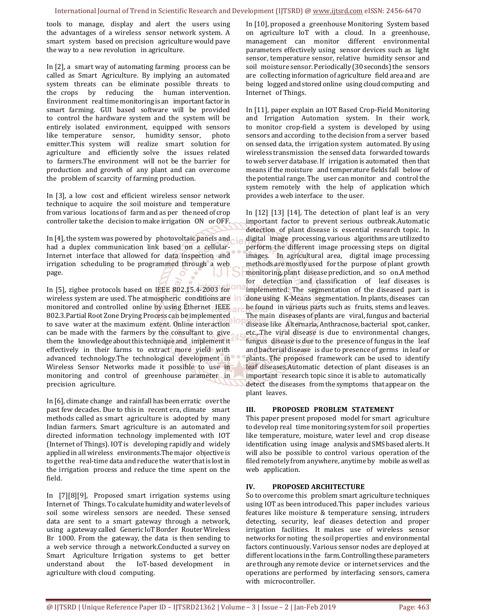tools to manage, display and alert the users using the advantages of a wireless sensor network system. A smart system based on precision agriculture would pave the way to a**0**new revolution**0**in agriculture.

In [2], a smart way of automating farming process can be called as Smart**0**Agriculture. By implying**0**an automated system threats can be eliminate possible threats to the crops by reducing the human intervention. Environment real time monitoring is an important factor in smart farming. GUI based software will be provided to control the hardware system and the system will be entirely isolated environment, equipped with sensors like temperature sensor, humidity sensor, photo emitter.This system will realize smart solution for agriculture and efficiently solve the issues related to farmers.The environment will not be the barrier for production**0**and growth of**0**any plant and can overcome the problem of scarcity of farming production.

In [3], a low cost and efficient wireless sensor network technique to acquire the soil moisture and temperature from various locations of farm and as per the need of crop controller take the decision to make irrigation ON or OFF.

In [4], the system was powered by photovoltaic panels and had a duplex communication link based on a cellular-Internet interface that allowed for data inspection and irrigation scheduling to be programmed through a web page.

In [5], zigbee protocols based on IEEE 802.15.4-2003 for wireless system are used. The atmospheric conditions are **in** monitored and controlled online by using Ethernet **IEEE** 802.3.Partial Root Zone Drying Process can be implemented to save**0**water at the maximum**0**extent. Online interaction can be made with the farmers by the consultant to give them the**0**knowledge about this technique and**0**implement it effectively in their**0**farms to extract more**0**yield with advanced**0**technology.The technological**0**development in Wireless Sensor Networks made it possible to use in monitoring and control of greenhouse parameter in precision agriculture.

In [6], climate change and rainfall has been erratic over the past few decades. Due to this in recent era, climate smart methods called as smart agriculture is adopted by many Indian farmers. Smart agriculture is an automated and directed information technology implemented with IOT (Internet of Things). IOT is**0**developing rapidly and**0**widely applied in all wireless environments.The major objective is to get the real-time data and reduce the water that is lost in the irrigation**0**process and reduce the time**0**spent on the field.

In [7][8][9], Proposed smart irrigation systems using Internet of Things. To calculate humidity and water levels of soil some wireless sensors are needed. These sensed data are sent to a smart gateway through a network, using a gateway called Generic IoT Border Router Wireless Br 1000. From the gateway, the data is then sending to a web service through a network.Conducted a survey on Smart Agriculture Irrigation systems to get better understand about the IoT-based development in agriculture with cloud computing.

In [10], proposed a greenhouse Monitoring System based on agriculture IoT with a cloud. In a greenhouse, management can monitor different environmental parameters effectively using sensor devices such as light sensor, temperature sensor, relative humidity sensor and soil moisture sensor. Periodically (30 seconds) the sensors are collecting information of agriculture field area and are being logged and stored online using cloud computing and Internet of Things.

In [11], paper explain an IOT Based Crop-Field Monitoring and Irrigation Automation system. In their work, to monitor crop-field a system is developed by using sensors and according to the decision from a server based on sensed data, the irrigation system automated. By using wireless transmission the sensed data forwarded towards to web server database. If irrigation is automated then that means if the moisture and temperature fields fall below of the potential range. The user can monitor and control the system remotely with the help of application which provides a web interface to the user.

In  $[12]$   $[13]$   $[14]$ , The detection of plant leaf is an very important factor to prevent serious outbreak.Automatic detection of plant disease is essential research topic. In digital image processing, various algorithms are utilized to perform the different image processing steps on digital images. In agricultural area, digital image processing methods are mostly used for the purpose of plant growth monitoring, plant disease prediction, and so on.A method for detection and classification of leaf diseases is implemented. The segmentation of the diseased part is done using K-Means segmentation. In plants, diseases can be found in various parts such as fruits, stems and leaves. The main diseases of plants are viral, fungus and bacterial disease like Alternaria, Anthracnose, bacterial spot, canker, etc...The viral disease is due to environmental changes, fungus disease is due to the presence of fungus in the leaf and bacterial disease is due to presence of germs in leaf or plants. The proposed framework can be used to identify leaf diseases.Automatic detection of plant diseases is an important research topic since it is able to automatically detect the diseases from the symptoms that appear on the plant leaves.

# **III. PROPOSED PROBLEM STATEMENT**

This paper present proposed model for smart agriculture to develop real time monitoring system for soil properties like temperature, moisture, water level and crop disease identification using image analysis and SMS based alerts. It will also be possible to control various operation of the filed remotely from anywhere, anytime by**0**mobile as well as web application.

# **IV. PROPOSED ARCHITECTURE**

So to overcome this problem smart agriculture techniques using IOT as been introduced.This paper includes various features like moisture  $&$  temperature sensing, intruders detecting, security, leaf dieases detection and proper irrigation facilities. It makes use of wireless sensor networks for noting the soil properties and environmental factors continuously. Various sensor nodes are deployed at different locations in the farm. Controlling these parameters are through any remote device or internet services and the operations are performed by interfacing sensors, camera with microcontroller.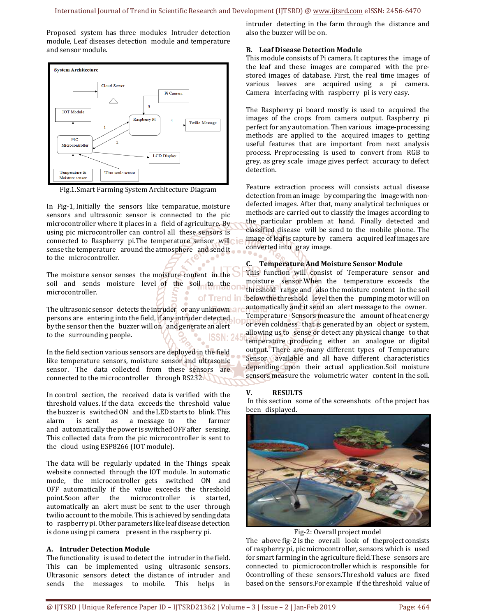Proposed system has three modules Intruder detection module, Leaf diseases detection**0**module and temperature and sensor module.



Fig.1.Smart Farming System Architecture Diagram

In Fig-1, Initially the sensors like temparatue, moisture sensors and ultrasonic sensor is connected to the pic microcontroller where it places in a field of agriculture. By using pic microcontroller can control all these sensors is connected to Raspberry pi.The temperature sensor will sense the temperature around the atmosphere and send it to the microcontroller.

The moisture sensor senses the moisture content in the soil and sends moisture level of the soil to the microcontroller. of Trend in

The ultrasonic sensor detects the intruder or any unknown and persons are entering into the field, if any intruder detected by the sensor then the buzzer will on **and generate an alert** to the surrounding people. ISSN: 24

In the field section various sensors are deployed in the field like temperature sensors, moisture sensor and ultrasonic sensor. The data collected from these sensors are connected to the microcontroller through RS232.

In control section, the received data is verified with the threshold values. If the data exceeds the threshold value the buzzer is**0**switched ON0and the LED starts to**0**blink. This alarm is sent as a message to the farmer and automatically the power is switched OFF after sensing. This collected data from the pic microcontroller is sent to the cloud using ESP8266 (IOT module).

The data will be regularly updated in the Things speak website connected through the IOT module. In automatic mode, the microcontroller gets switched ON and OFF automatically if the value exceeds the threshold point.Soon after the microcontroller is started, automatically an alert must be sent to the user through twilio account to the mobile. This is achieved by sending data to**0**raspberry pi. Other parameters like leaf disease detection is done using pi camera present in the raspberry pi.

# **A. Intruder Detection Module**

The functionality is used to detect the intruder in the field. This can be implemented using ultrasonic sensors. Ultrasonic sensors detect the distance of intruder and sends the messages to mobile. This helps in

intruder detecting in the farm through the distance and also the buzzer will be on.

# **B. Leaf Disease Detection Module**

This module consists of Pi camera. It captures the**0**image of the leaf and these images are compared with the prestored images of database. First, the real time images of various leaves are acquired using a pi camera. Camera interfacing with raspberry pi is very easy.

The Raspberry pi board mostly is used to**0**acquired the images of the crops from camera output. Raspberry pi perfect for any automation. Then various**0**image-processing methods**0**are applied to the**0**acquired images to**0**getting useful features that are important from next analysis process. Preprocessing**0**is used to**0**convert from**0**RGB to grey, as grey scale**0**image gives perfect**0**accuracy to defect detection.

Feature extraction process will consists actual disease detection from an image by comparing the image with nondefected images. After that, many analytical techniques or methods are carried out to classify the images according to the particular problem**0**at hand. Finally detected**0**and classified disease**0**will be send to the**0**mobile phone. The image of leaf is capture by**0**camera**0**acquired leaf images are converted into gray image.

# **C. Temperature And Moisture Sensor Module**

This function**0**will consist of**0**Temperature**0**sensor and moisture sensor. When the temperature exceeds the threshold**0**range and**0**also the moisture content**0**in the soil below the threshold level then the pumping motor will on automatically and it send an alert message to the owner. Temperature**0**Sensors measure the**0**amount of heat energy or even coldness**0**that is generated by an**0**object or system, allowing us to**0**sense or detect any physical change**0**to that temperature**0**producing either an analogue**0**or**0**digital output. There are many different types of Temperature Sensor available and all have different characteristics depending upon their**0**actual application.Soil**0**moisture sensors measure the volumetric water content in the soil.

# **V. RESULTS**

In this section some of the screenshots of the project has been displayed.



Fig-2: Overall project model

The above fig-2 is the overall look of theproject consists of raspberry pi, pic microcontroller, sensors which is used for smart farming in the agriculture field. These sensors are connected to picmicrocontroller which is responsible for 0controlling of these sensors.Threshold values are fixed based on the sensors.For example if the threshold value of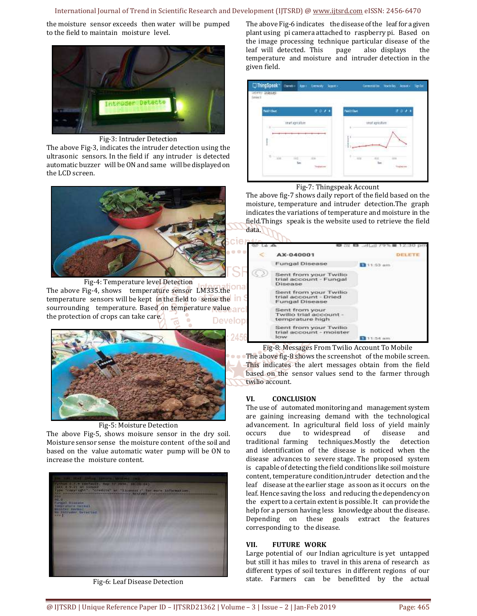#### International Journal of Trend in Scientific Research and Development (IJTSRD) @ www.ijtsrd.com eISSN: 2456-6470

the moisture sensor exceeds then water will be pumped to the field to maintain moisture level.



Fig-3: Intruder Detection

The above Fig-3, indicates the intruder detection using the ultrasonic sensors. In the field if any intruder is detected automatic buzzer will be ON and same will be displayed on the LCD screen.



Fig-4: Temperature level Detection The above Fig-4, shows temperature sensor LM335.the temperature sensors will be kept in the field to sense the **in** sourrounding temperature. Based on temperature value arc the protection of crops can take care. **Develop** 



Fig-5: Moisture Detection

The above Fig-5, shows moisure sensor in the dry soil. Moisture sensor sense the moisture content of the soil and based on the value automatic water pump will be ON to increase the moisture content.



Fig-6: Leaf Disease Detection

The above Fig-6 indicates the disease of the leaf for a given plant using pi camera attached to raspberry pi. Based on the image processing technique particular disease of the leaf will detected. This page also displays the temperature and moisture and intruder detection in the given field.



#### Fig-7: Thingspeak Account

The above fig-7 shows daily report of the field based on the moisture, temperature and intruder detection.The graph indicates the variations of temperature and moisture in the field. Things speak is the website used to retrieve the field data.



Fig-8: Messages From Twilio Account To Mobile The above fig-8 shows the screenshot of the mobile screen. This indicates the alert messages obtain from the field based on the sensor values send to the farmer through twilio account.

# **VI. CONCLUSION**

24.56

The use of**0**automated monitoring and**0**management system are gaining increasing demand with the technological advancement. In**0**agricultural field loss**0**of yield mainly occurs due to**0**widespread of disease and traditional**0**farming techniques.Mostly**0**the detection and**0**identification of**0**the disease is noticed**0**when the disease**0**advances to**0**severe stage. The**0**proposed**0**system is capable of detecting the field conditions like soil moisture content, temperature condition, intruder detection and the leaf **0**disease at the earlier stage**0**as soon as it occurs**0**on the leaf. Hence saving the loss**0**and reducing the dependency on the expert to a certain extent is possible. It can provide the help for a person having less knowledge about the disease. Depending on these goals extract the features corresponding to the disease.

# **VII. FUTURE WORK**

Large potential of our Indian agriculture is yet untapped but still it has miles to travel in this arena of research as different types of soil textures in different regions of our state. Farmers can be benefitted by the actual